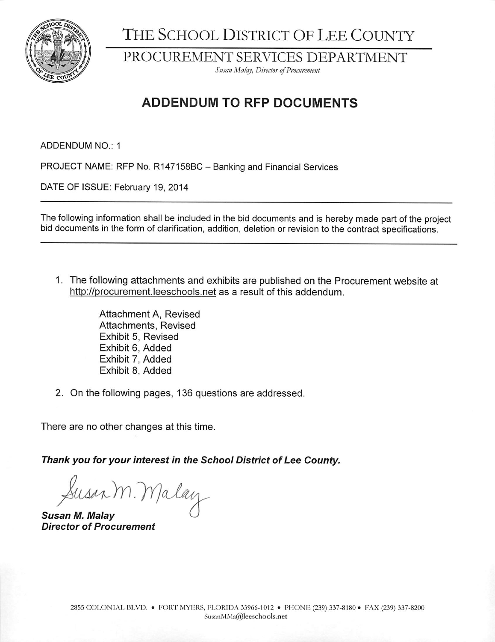

THE SCHOOL DISTRICT OF LEE COUNTY

PROCUREMENT SERVICES DEPARTMENT

Susan Malay, Director of Procurement

## **ADDENDUM TO RFP DOCUMENTS**

ADDENDUM NO.: 1

PROJECT NAME: RFP No. R147158BC - Banking and Financial Services

DATE OF ISSUE: February 19, 2014

The following information shall be included in the bid documents and is hereby made part of the project bid documents in the form of clarification, addition, deletion or revision to the contract specifications.

1. The following attachments and exhibits are published on the Procurement website at http://procurement.leeschools.net as a result of this addendum.

> Attachment A, Revised Attachments, Revised Exhibit 5, Revised Exhibit 6, Added Exhibit 7. Added Exhibit 8, Added

2. On the following pages, 136 questions are addressed.

There are no other changes at this time.

Thank you for your interest in the School District of Lee County.

Susan M. Malay

Susan M. Malay **Director of Procurement**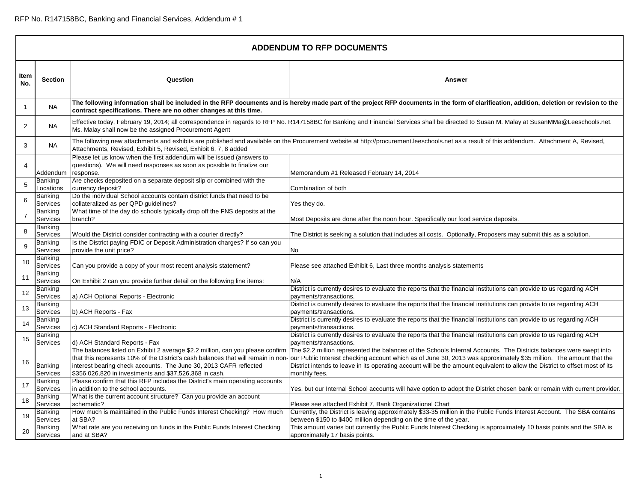|                | <b>ADDENDUM TO RFP DOCUMENTS</b> |                                                                                                                                                                                                                                                                                                    |                                                                                                                                                                                                                                                                                                                                                                                            |  |
|----------------|----------------------------------|----------------------------------------------------------------------------------------------------------------------------------------------------------------------------------------------------------------------------------------------------------------------------------------------------|--------------------------------------------------------------------------------------------------------------------------------------------------------------------------------------------------------------------------------------------------------------------------------------------------------------------------------------------------------------------------------------------|--|
| Item<br>No.    | <b>Section</b>                   | Question                                                                                                                                                                                                                                                                                           | Answer                                                                                                                                                                                                                                                                                                                                                                                     |  |
| $\overline{1}$ | NA.                              | contract specifications. There are no other changes at this time.                                                                                                                                                                                                                                  | The following information shall be included in the RFP documents and is hereby made part of the project RFP documents in the form of clarification, addition, deletion or revision to the                                                                                                                                                                                                  |  |
| $\overline{2}$ | <b>NA</b>                        | Ms. Malay shall now be the assigned Procurement Agent                                                                                                                                                                                                                                              | Effective today, February 19, 2014; all correspondence in regards to RFP No. R147158BC for Banking and Financial Services shall be directed to Susan M. Malay at SusanMMa@Leeschools.net.                                                                                                                                                                                                  |  |
| 3              | NA.                              | Attachments, Revised, Exhibit 5, Revised, Exhibit 6, 7, 8 added                                                                                                                                                                                                                                    | The following new attachments and exhibits are published and available on the Procurement website at http://procurement.leeschools.net as a result of this addendum. Attachment A, Revised,                                                                                                                                                                                                |  |
| 4              | Addendum                         | Please let us know when the first addendum will be issued (answers to<br>questions). We will need responses as soon as possible to finalize our<br>response.                                                                                                                                       | Memorandum #1 Released February 14, 2014                                                                                                                                                                                                                                                                                                                                                   |  |
| 5              | Banking<br>Locations             | Are checks deposited on a separate deposit slip or combined with the<br>currency deposit?                                                                                                                                                                                                          | Combination of both                                                                                                                                                                                                                                                                                                                                                                        |  |
| 6              | Banking<br>Services              | Do the individual School accounts contain district funds that need to be<br>collateralized as per QPD guidelines?                                                                                                                                                                                  | Yes they do.                                                                                                                                                                                                                                                                                                                                                                               |  |
| $\overline{7}$ | Banking<br>Services              | What time of the day do schools typically drop off the FNS deposits at the<br>branch?                                                                                                                                                                                                              | Most Deposits are done after the noon hour. Specifically our food service deposits.                                                                                                                                                                                                                                                                                                        |  |
| 8              | Banking<br>Services              | Would the District consider contracting with a courier directly?                                                                                                                                                                                                                                   | The District is seeking a solution that includes all costs. Optionally, Proposers may submit this as a solution.                                                                                                                                                                                                                                                                           |  |
| 9              | Banking<br>Services              | Is the District paying FDIC or Deposit Administration charges? If so can you<br>provide the unit price?                                                                                                                                                                                            | No                                                                                                                                                                                                                                                                                                                                                                                         |  |
| 10             | Banking<br>Services              | Can you provide a copy of your most recent analysis statement?                                                                                                                                                                                                                                     | Please see attached Exhibit 6, Last three months analysis statements                                                                                                                                                                                                                                                                                                                       |  |
| 11             | Banking<br>Services              | On Exhibit 2 can you provide further detail on the following line items:                                                                                                                                                                                                                           | N/A                                                                                                                                                                                                                                                                                                                                                                                        |  |
| 12             | Banking<br>Services              | a) ACH Optional Reports - Electronic                                                                                                                                                                                                                                                               | District is currently desires to evaluate the reports that the financial institutions can provide to us regarding ACH<br>payments/transactions.                                                                                                                                                                                                                                            |  |
| 13             | Banking<br>Services              | b) ACH Reports - Fax                                                                                                                                                                                                                                                                               | District is currently desires to evaluate the reports that the financial institutions can provide to us regarding ACH<br>payments/transactions.                                                                                                                                                                                                                                            |  |
| 14             | Banking<br>Services              | c) ACH Standard Reports - Electronic                                                                                                                                                                                                                                                               | District is currently desires to evaluate the reports that the financial institutions can provide to us regarding ACH<br>payments/transactions.                                                                                                                                                                                                                                            |  |
| 15             | Banking<br>Services              | d) ACH Standard Reports - Fax                                                                                                                                                                                                                                                                      | District is currently desires to evaluate the reports that the financial institutions can provide to us regarding ACH<br>payments/transactions.                                                                                                                                                                                                                                            |  |
| 16             | Banking<br>Services              | The balances listed on Exhibit 2 average \$2.2 million, can you please confirm<br>that this represents 10% of the District's cash balances that will remain in non-<br>interest bearing check accounts. The June 30, 2013 CAFR reflected<br>\$356,026,820 in investments and \$37,526,368 in cash. | The \$2.2 million represented the balances of the Schools Internal Accounts. The Districts balances were swept into<br>our Public Interest checking account which as of June 30, 2013 was approximately \$35 million. The amount that the<br>District intends to leave in its operating account will be the amount equivalent to allow the District to offset most of its<br>monthly fees. |  |
| 17             | Banking<br>Services              | Please confirm that this RFP includes the District's main operating accounts<br>in addition to the school accounts.                                                                                                                                                                                | Yes, but our Internal School accounts will have option to adopt the District chosen bank or remain with current provider.                                                                                                                                                                                                                                                                  |  |
| 18             | Banking<br>Services              | What is the current account structure? Can you provide an account<br>schematic?                                                                                                                                                                                                                    | Please see attached Exhibit 7, Bank Organizational Chart                                                                                                                                                                                                                                                                                                                                   |  |
| 19             | Banking<br>Services              | How much is maintained in the Public Funds Interest Checking? How much<br>at SBA?                                                                                                                                                                                                                  | Currently, the District is leaving approximately \$33-35 million in the Public Funds Interest Account. The SBA contains<br>between \$150 to \$400 million depending on the time of the year.                                                                                                                                                                                               |  |
| 20             | Banking<br>Services              | What rate are you receiving on funds in the Public Funds Interest Checking<br>and at SBA?                                                                                                                                                                                                          | This amount varies but currently the Public Funds Interest Checking is approximately 10 basis points and the SBA is<br>approximately 17 basis points.                                                                                                                                                                                                                                      |  |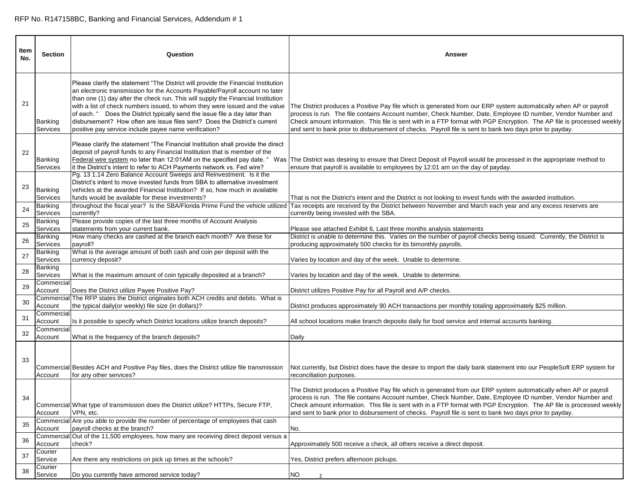| Item<br>No. | <b>Section</b>                  | Question                                                                                                                                                                                                                                                                                                                                                                                                                                                                                                                                                  | Answer                                                                                                                                                                                                                                                                                                                                                                                                                                                                |
|-------------|---------------------------------|-----------------------------------------------------------------------------------------------------------------------------------------------------------------------------------------------------------------------------------------------------------------------------------------------------------------------------------------------------------------------------------------------------------------------------------------------------------------------------------------------------------------------------------------------------------|-----------------------------------------------------------------------------------------------------------------------------------------------------------------------------------------------------------------------------------------------------------------------------------------------------------------------------------------------------------------------------------------------------------------------------------------------------------------------|
| 21          | Banking<br>Services             | Please clarify the statement "The District will provide the Financial Institution<br>an electronic transmission for the Accounts Payable/Payroll account no later<br>than one (1) day after the check run. This will supply the Financial Institution<br>with a list of check numbers issued, to whom they were issued and the value<br>of each. " Does the District typically send the issue file a day later than<br>disbursement? How often are issue files sent? Does the District's current<br>positive pay service include payee name verification? | The District produces a Positive Pay file which is generated from our ERP system automatically when AP or payroll<br>process is run. The file contains Account number, Check Number, Date, Employee ID number, Vendor Number and<br>Check amount information. This file is sent with in a FTP format with PGP Encryption. The AP file is processed weekly<br>and sent to bank prior to disbursement of checks. Payroll file is sent to bank two days prior to payday. |
| 22          | Banking<br>Services             | Please clarify the statement "The Financial Institution shall provide the direct<br>deposit of payroll funds to any Financial Institution that is member of the<br>it the District's intent to refer to ACH Payments network vs. Fed wire?                                                                                                                                                                                                                                                                                                                | Federal wire system no later than 12:01AM on the specified pay date. " Was  The District was desiring to ensure that Direct Deposit of Payroll would be processed in the appropriate method to<br>ensure that payroll is available to employees by 12:01 am on the day of payday.                                                                                                                                                                                     |
| 23          | Banking<br>Services             | Pg. 13 1.14 Zero Balance Account Sweeps and Reinvestment. Is it the<br>District's intent to move invested funds from SBA to alternative investment<br>vehicles at the awarded Financial Institution? If so, how much in available<br>funds would be available for these investments?<br>throughout the fiscal year? Is the SBA/Florida Prime Fund the vehicle utilized                                                                                                                                                                                    | That is not the District's intent and the District is not looking to invest funds with the awarded institution.<br>Tax receipts are received by the District between November and March each year and any excess reserves are                                                                                                                                                                                                                                         |
| 24<br>25    | Banking<br>Services<br>Banking  | currently?<br>Please provide copies of the last three months of Account Analysis                                                                                                                                                                                                                                                                                                                                                                                                                                                                          | currently being invested with the SBA.                                                                                                                                                                                                                                                                                                                                                                                                                                |
| 26          | Services<br>Banking<br>Services | statements from your current bank.<br>How many checks are cashed at the branch each month? Are these for<br>payroll?                                                                                                                                                                                                                                                                                                                                                                                                                                      | Please see attached Exhibit 6, Last three months analysis statements<br>District is unable to determine this. Varies on the number of payroll checks being issued. Currently, the District is<br>producing approximately 500 checks for its bimonthly payrolls.                                                                                                                                                                                                       |
| 27          | Banking<br>Services             | What is the average amount of both cash and coin per deposit with the<br>currency deposit?                                                                                                                                                                                                                                                                                                                                                                                                                                                                | Varies by location and day of the week. Unable to determine.                                                                                                                                                                                                                                                                                                                                                                                                          |
| 28          | Banking<br>Services             | What is the maximum amount of coin typically deposited at a branch?                                                                                                                                                                                                                                                                                                                                                                                                                                                                                       | Varies by location and day of the week. Unable to determine.                                                                                                                                                                                                                                                                                                                                                                                                          |
| 29          | Commercial<br>Account           | Does the District utilize Payee Positive Pay?<br>Commercial The RFP states the District originates both ACH credits and debits. What is                                                                                                                                                                                                                                                                                                                                                                                                                   | District utilizes Positive Pay for all Payroll and A/P checks.                                                                                                                                                                                                                                                                                                                                                                                                        |
| 30          | Account<br>Commercial           | the typical daily(or weekly) file size (in dollars)?                                                                                                                                                                                                                                                                                                                                                                                                                                                                                                      | District produces approximately 90 ACH transactions per monthly totaling approximately \$25 million.                                                                                                                                                                                                                                                                                                                                                                  |
| 31          | Account<br>Commercial           | Is it possible to specify which District locations utilize branch deposits?                                                                                                                                                                                                                                                                                                                                                                                                                                                                               | All school locations make branch deposits daily for food service and internal accounts banking.                                                                                                                                                                                                                                                                                                                                                                       |
| 32          | Account                         | What is the frequency of the branch deposits?                                                                                                                                                                                                                                                                                                                                                                                                                                                                                                             | Daily                                                                                                                                                                                                                                                                                                                                                                                                                                                                 |
| 33          | Account                         | Commercial Besides ACH and Positive Pay files, does the District utilize file transmission<br>for any other services?                                                                                                                                                                                                                                                                                                                                                                                                                                     | Not currently, but District does have the desire to import the daily bank statement into our PeopleSoft ERP system for<br>reconciliation purposes.                                                                                                                                                                                                                                                                                                                    |
| 34          | Account                         | Commercial What type of transmission does the District utilize? HTTPs, Secure FTP,<br>VPN, etc.                                                                                                                                                                                                                                                                                                                                                                                                                                                           | The District produces a Positive Pay file which is generated from our ERP system automatically when AP or payroll<br>process is run. The file contains Account number, Check Number, Date, Employee ID number, Vendor Number and<br>Check amount information. This file is sent with in a FTP format with PGP Encryption. The AP file is processed weekly<br>and sent to bank prior to disbursement of checks. Payroll file is sent to bank two days prior to payday. |
| 35          | Account                         | Commercial Are you able to provide the number of percentage of employees that cash<br>payroll checks at the branch?                                                                                                                                                                                                                                                                                                                                                                                                                                       | No.                                                                                                                                                                                                                                                                                                                                                                                                                                                                   |
| 36          | Commercia<br>Account            | Out of the 11,500 employees, how many are receiving direct deposit versus a<br>check?                                                                                                                                                                                                                                                                                                                                                                                                                                                                     | Approximately 500 receive a check, all others receive a direct deposit.                                                                                                                                                                                                                                                                                                                                                                                               |
| 37          | Courier<br>Service              | Are there any restrictions on pick up times at the schools?                                                                                                                                                                                                                                                                                                                                                                                                                                                                                               | Yes, District prefers afternoon pickups.                                                                                                                                                                                                                                                                                                                                                                                                                              |
| 38          | Courier<br>Service              | Do you currently have armored service today?                                                                                                                                                                                                                                                                                                                                                                                                                                                                                                              | <b>NO</b><br>$\overline{2}$                                                                                                                                                                                                                                                                                                                                                                                                                                           |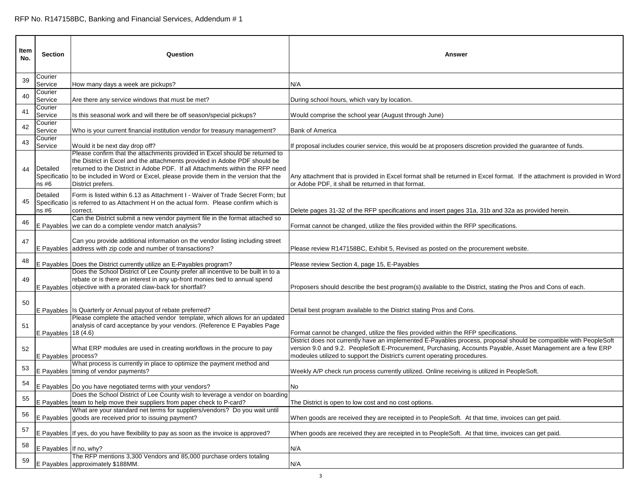| Item<br>No. | <b>Section</b>         | Question                                                                                                                                                                                                                                                                                                                                                    | Answer                                                                                                                                                                                                                                                                                                        |
|-------------|------------------------|-------------------------------------------------------------------------------------------------------------------------------------------------------------------------------------------------------------------------------------------------------------------------------------------------------------------------------------------------------------|---------------------------------------------------------------------------------------------------------------------------------------------------------------------------------------------------------------------------------------------------------------------------------------------------------------|
| 39          | Courier<br>Service     | How many days a week are pickups?                                                                                                                                                                                                                                                                                                                           | N/A                                                                                                                                                                                                                                                                                                           |
| 40          | Courier<br>Service     | Are there any service windows that must be met?                                                                                                                                                                                                                                                                                                             | During school hours, which vary by location.                                                                                                                                                                                                                                                                  |
| 41          | Courier<br>Service     | Is this seasonal work and will there be off season/special pickups?                                                                                                                                                                                                                                                                                         | Would comprise the school year (August through June)                                                                                                                                                                                                                                                          |
| 42          | Courier<br>Service     | Who is your current financial institution vendor for treasury management?                                                                                                                                                                                                                                                                                   | <b>Bank of America</b>                                                                                                                                                                                                                                                                                        |
| 43          | Courier<br>Service     | Would it be next day drop off?                                                                                                                                                                                                                                                                                                                              | If proposal includes courier service, this would be at proposers discretion provided the guarantee of funds.                                                                                                                                                                                                  |
| 44          | Detailed<br>ns#6       | Please confirm that the attachments provided in Excel should be returned to<br>the District in Excel and the attachments provided in Adobe PDF should be<br>returned to the District in Adobe PDF. If all Attachments within the RFP need<br>Specificatio to be included in Word or Excel, please provide them in the version that the<br>District prefers. | Any attachment that is provided in Excel format shall be returned in Excel format. If the attachment is provided in Word<br>or Adobe PDF, it shall be returned in that format.                                                                                                                                |
| 45          | Detailed<br>ns#6       | Form is listed within 6.13 as Attachment I - Waiver of Trade Secret Form; but<br>Specificatio is referred to as Attachment H on the actual form. Please confirm which is<br>correct.                                                                                                                                                                        | Delete pages 31-32 of the RFP specifications and insert pages 31a, 31b and 32a as provided herein.                                                                                                                                                                                                            |
| 46          |                        | Can the District submit a new vendor payment file in the format attached so<br>E Payables we can do a complete vendor match analysis?                                                                                                                                                                                                                       | Format cannot be changed, utilize the files provided within the RFP specifications.                                                                                                                                                                                                                           |
| 47          |                        | Can you provide additional information on the vendor listing including street<br>E Payables address with zip code and number of transactions?                                                                                                                                                                                                               | Please review R147158BC, Exhibit 5, Revised as posted on the procurement website.                                                                                                                                                                                                                             |
| 48          |                        | E Payables Does the District currently utilize an E-Payables program?                                                                                                                                                                                                                                                                                       | Please review Section 4, page 15, E-Payables                                                                                                                                                                                                                                                                  |
| 49          |                        | Does the School District of Lee County prefer all incentive to be built in to a<br>rebate or is there an interest in any up-front monies tied to annual spend<br>E Payables objective with a prorated claw-back for shortfall?                                                                                                                              | Proposers should describe the best program(s) available to the District, stating the Pros and Cons of each.                                                                                                                                                                                                   |
| 50          |                        | E Payables Is Quarterly or Annual payout of rebate preferred?                                                                                                                                                                                                                                                                                               | Detail best program available to the District stating Pros and Cons.                                                                                                                                                                                                                                          |
| 51          | E Payables   18 (4.6)  | Please complete the attached vendor template, which allows for an updated<br>analysis of card acceptance by your vendors. (Reference E Payables Page                                                                                                                                                                                                        | Format cannot be changed, utilize the files provided within the RFP specifications.                                                                                                                                                                                                                           |
| 52          | E Payables process?    | What ERP modules are used in creating workflows in the procure to pay                                                                                                                                                                                                                                                                                       | District does not currently have an implemented E-Payables process, proposal should be compatible with PeopleSoft<br>version 9.0 and 9.2. PeopleSoft E-Procurement, Purchasing, Accounts Payable, Asset Management are a few ERP<br>modeules utilized to support the District's current operating procedures. |
| 53          |                        | What process is currently in place to optimize the payment method and<br>E Payables timing of vendor payments?                                                                                                                                                                                                                                              | Weekly A/P check run process currently utilized. Online receiving is utilized in PeopleSoft.                                                                                                                                                                                                                  |
| 54          |                        | E Payables   Do you have negotiated terms with your vendors?                                                                                                                                                                                                                                                                                                | No                                                                                                                                                                                                                                                                                                            |
| 55          |                        | Does the School District of Lee County wish to leverage a vendor on boarding<br>E Payables team to help move their suppliers from paper check to P-card?                                                                                                                                                                                                    | The District is open to low cost and no cost options.                                                                                                                                                                                                                                                         |
| 56          |                        | What are your standard net terms for suppliers/vendors? Do you wait until<br>E Payables goods are received prior to issuing payment?                                                                                                                                                                                                                        | When goods are received they are receipted in to PeopleSoft. At that time, invoices can get paid.                                                                                                                                                                                                             |
| 57          |                        | E Payables If yes, do you have flexibility to pay as soon as the invoice is approved?                                                                                                                                                                                                                                                                       | When goods are received they are receipted in to PeopleSoft. At that time, invoices can get paid.                                                                                                                                                                                                             |
| 58          | E Payables If no, why? |                                                                                                                                                                                                                                                                                                                                                             | N/A                                                                                                                                                                                                                                                                                                           |
| 59          |                        | The RFP mentions 3,300 Vendors and 85,000 purchase orders totaling<br>E Payables approximately \$188MM.                                                                                                                                                                                                                                                     | N/A                                                                                                                                                                                                                                                                                                           |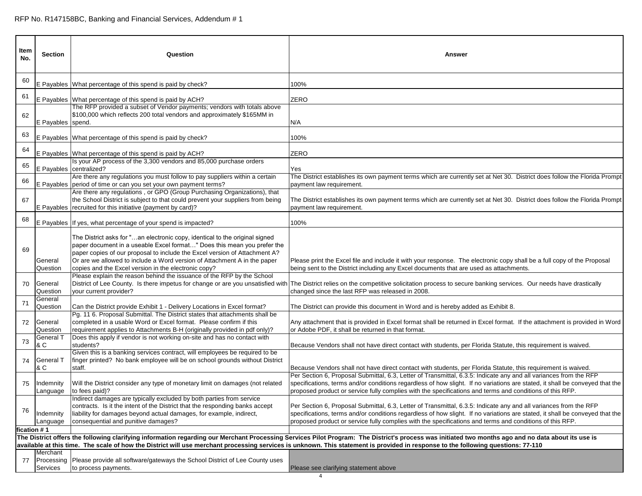| Item<br>No. | <b>Section</b>                     | Question                                                                                                                                                                                                                                                                                                                                                                 | <b>Answer</b>                                                                                                                                                                                                                                                                                                                                                 |
|-------------|------------------------------------|--------------------------------------------------------------------------------------------------------------------------------------------------------------------------------------------------------------------------------------------------------------------------------------------------------------------------------------------------------------------------|---------------------------------------------------------------------------------------------------------------------------------------------------------------------------------------------------------------------------------------------------------------------------------------------------------------------------------------------------------------|
| 60          |                                    | E Payables What percentage of this spend is paid by check?                                                                                                                                                                                                                                                                                                               | 100%                                                                                                                                                                                                                                                                                                                                                          |
| 61          |                                    | E Payables What percentage of this spend is paid by ACH?                                                                                                                                                                                                                                                                                                                 | ZERO                                                                                                                                                                                                                                                                                                                                                          |
| 62          | E Payables spend.                  | The RFP provided a subset of Vendor payments; vendors with totals above<br>\$100,000 which reflects 200 total vendors and approximately \$165MM in                                                                                                                                                                                                                       | N/A                                                                                                                                                                                                                                                                                                                                                           |
| 63          |                                    | E Payables What percentage of this spend is paid by check?                                                                                                                                                                                                                                                                                                               | 100%                                                                                                                                                                                                                                                                                                                                                          |
| 64          |                                    | E Payables What percentage of this spend is paid by ACH?                                                                                                                                                                                                                                                                                                                 | ZERO                                                                                                                                                                                                                                                                                                                                                          |
| 65          |                                    | Is your AP process of the 3,300 vendors and 85,000 purchase orders<br>E Payables centralized?                                                                                                                                                                                                                                                                            | Yes                                                                                                                                                                                                                                                                                                                                                           |
| 66          |                                    | Are there any regulations you must follow to pay suppliers within a certain<br>E Payables period of time or can you set your own payment terms?                                                                                                                                                                                                                          | The District establishes its own payment terms which are currently set at Net 30. District does follow the Florida Prompt<br>payment law requirement.                                                                                                                                                                                                         |
| 67          |                                    | Are there any regulations, or GPO (Group Purchasing Organizations), that<br>the School District is subject to that could prevent your suppliers from being<br>E Payables recruited for this initiative (payment by card)?                                                                                                                                                | The District establishes its own payment terms which are currently set at Net 30. District does follow the Florida Prompt<br>payment law requirement.                                                                                                                                                                                                         |
| 68          |                                    | E Payables If yes, what percentage of your spend is impacted?                                                                                                                                                                                                                                                                                                            | 100%                                                                                                                                                                                                                                                                                                                                                          |
| 69          | General<br>Question                | The District asks for "an electronic copy, identical to the original signed<br>paper document in a useable Excel format" Does this mean you prefer the<br>paper copies of our proposal to include the Excel version of Attachment A?<br>Or are we allowed to include a Word version of Attachment A in the paper<br>copies and the Excel version in the electronic copy? | Please print the Excel file and include it with your response. The electronic copy shall be a full copy of the Proposal<br>being sent to the District including any Excel documents that are used as attachments.                                                                                                                                             |
| 70          | General<br>Question                | Please explain the reason behind the issuance of the RFP by the School<br>your current provider?                                                                                                                                                                                                                                                                         | District of Lee County. Is there impetus for change or are you unsatisfied with The District relies on the competitive solicitation process to secure banking services. Our needs have drastically<br>changed since the last RFP was released in 2008.                                                                                                        |
| 71          | General<br>Question                | Can the District provide Exhibit 1 - Delivery Locations in Excel format?                                                                                                                                                                                                                                                                                                 | The District can provide this document in Word and is hereby added as Exhibit 8.                                                                                                                                                                                                                                                                              |
| 72          | General<br>Question                | Pg. 11 6. Proposal Submittal. The District states that attachments shall be<br>completed in a usable Word or Excel format. Please confirm if this<br>requirement applies to Attachments B-H (originally provided in pdf only)?                                                                                                                                           | Any attachment that is provided in Excel format shall be returned in Excel format. If the attachment is provided in Word<br>or Adobe PDF, it shall be returned in that format.                                                                                                                                                                                |
| 73          | General 1<br>& C                   | Does this apply if vendor is not working on-site and has no contact with<br>students?                                                                                                                                                                                                                                                                                    | Because Vendors shall not have direct contact with students, per Florida Statute, this requirement is waived.                                                                                                                                                                                                                                                 |
| 74          | <b>General T</b><br>& C            | Given this is a banking services contract, will employees be required to be<br>finger printed? No bank employee will be on school grounds without District<br>staff.                                                                                                                                                                                                     | Because Vendors shall not have direct contact with students, per Florida Statute, this requirement is waived.                                                                                                                                                                                                                                                 |
| 75          | Indemnity<br>Language              | Will the District consider any type of monetary limit on damages (not related<br>to fees paid)?                                                                                                                                                                                                                                                                          | Per Section 6, Proposal Submittal, 6.3, Letter of Transmittal, 6.3.5: Indicate any and all variances from the RFP<br>specifications, terms and/or conditions regardless of how slight. If no variations are stated, it shall be conveyed that the<br>proposed product or service fully complies with the specifications and terms and conditions of this RFP. |
| 76          | Indemnity<br>Language              | Indirect damages are typically excluded by both parties from service<br>contracts. Is it the intent of the District that the responding banks accept<br>liability for damages beyond actual damages, for example, indirect,<br>consequential and punitive damages?                                                                                                       | Per Section 6, Proposal Submittal, 6.3, Letter of Transmittal, 6.3.5: Indicate any and all variances from the RFP<br>specifications, terms and/or conditions regardless of how slight. If no variations are stated, it shall be conveyed that the<br>proposed product or service fully complies with the specifications and terms and conditions of this RFP. |
|             | fication # 1                       |                                                                                                                                                                                                                                                                                                                                                                          | The District offers the following clarifying information regarding our Merchant Processing Services Pilot Program: The District's process was initiated two months ago and no data about its use is                                                                                                                                                           |
| 77          | Merchant<br>Processing<br>Services | Please provide all software/gateways the School District of Lee County uses<br>to process payments.                                                                                                                                                                                                                                                                      | available at this time. The scale of how the District will use merchant processing services is unknown. This statement is provided in response to the following questions: 77-110<br>Please see clarifying statement above                                                                                                                                    |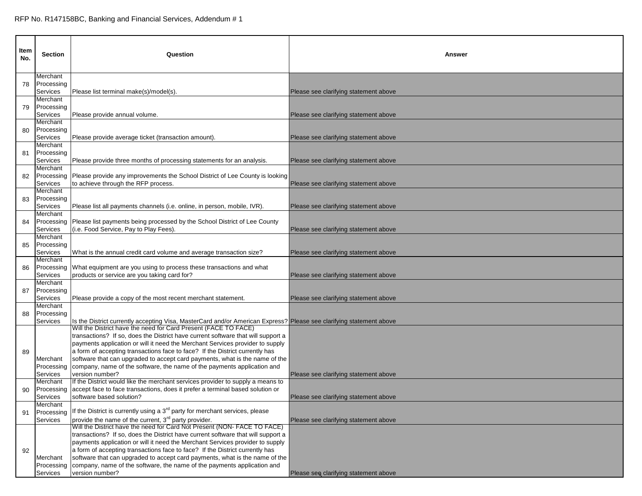| ltem<br>No. | <b>Section</b>         | Question                                                                                                                                                                   | Answer                                |
|-------------|------------------------|----------------------------------------------------------------------------------------------------------------------------------------------------------------------------|---------------------------------------|
| 78          | Merchant<br>Processing |                                                                                                                                                                            |                                       |
|             | Services               | Please list terminal make(s)/model(s).                                                                                                                                     | Please see clarifying statement above |
|             | Merchant               |                                                                                                                                                                            |                                       |
| 79          | Processing             |                                                                                                                                                                            |                                       |
|             | Services<br>Merchant   | Please provide annual volume.                                                                                                                                              | Please see clarifying statement above |
| 80          | Processing             |                                                                                                                                                                            |                                       |
|             | Services               | Please provide average ticket (transaction amount).                                                                                                                        | Please see clarifying statement above |
|             | Merchant               |                                                                                                                                                                            |                                       |
| 81          | Processing             |                                                                                                                                                                            |                                       |
|             | Services               | Please provide three months of processing statements for an analysis.                                                                                                      | Please see clarifying statement above |
| 82          | Merchant<br>Processing | Please provide any improvements the School District of Lee County is looking                                                                                               |                                       |
|             | Services               | to achieve through the RFP process.                                                                                                                                        | Please see clarifying statement above |
|             | Merchant               |                                                                                                                                                                            |                                       |
| 83          | Processing             |                                                                                                                                                                            |                                       |
|             | Services               | Please list all payments channels (i.e. online, in person, mobile, IVR).                                                                                                   | Please see clarifying statement above |
|             | Merchant<br>Processing | Please list payments being processed by the School District of Lee County                                                                                                  |                                       |
| 84          | Services               | (i.e. Food Service, Pay to Play Fees).                                                                                                                                     | Please see clarifying statement above |
|             | Merchant               |                                                                                                                                                                            |                                       |
| 85          | Processing             |                                                                                                                                                                            |                                       |
|             | Services               | What is the annual credit card volume and average transaction size?                                                                                                        | Please see clarifying statement above |
| 86          | Merchant<br>Processing | What equipment are you using to process these transactions and what                                                                                                        |                                       |
|             | Services               | products or service are you taking card for?                                                                                                                               | Please see clarifying statement above |
|             | Merchant               |                                                                                                                                                                            |                                       |
| 87          | Processing             |                                                                                                                                                                            |                                       |
|             | Services<br>Merchant   | Please provide a copy of the most recent merchant statement.                                                                                                               | Please see clarifying statement above |
| 88          | Processing             |                                                                                                                                                                            |                                       |
|             | Services               | Is the District currently accepting Visa, MasterCard and/or American Express? Please see clarifying statement above                                                        |                                       |
|             |                        | Will the District have the need for Card Present (FACE TO FACE)                                                                                                            |                                       |
|             |                        | transactions? If so, does the District have current software that will support a<br>payments application or will it need the Merchant Services provider to supply          |                                       |
| 89          |                        | a form of accepting transactions face to face? If the District currently has                                                                                               |                                       |
|             | Merchant               | software that can upgraded to accept card payments, what is the name of the                                                                                                |                                       |
|             | Processing             | company, name of the software, the name of the payments application and                                                                                                    |                                       |
|             | Services               | version number?                                                                                                                                                            | Please see clarifying statement above |
|             | Merchant               | If the District would like the merchant services provider to supply a means to<br>Processing accept face to face transactions, does it prefer a terminal based solution or |                                       |
| 90          | Services               | software based solution?                                                                                                                                                   | Please see clarifying statement above |
|             | Merchant               |                                                                                                                                                                            |                                       |
| 91          | Processing             | If the District is currently using a 3 <sup>rd</sup> party for merchant services, please                                                                                   |                                       |
|             | Services               | provide the name of the current, 3 <sup>rd</sup> party provider.<br>Will the District have the need for Card Not Present (NON-FACE TO FACE)                                | Please see clarifying statement above |
|             |                        | transactions? If so, does the District have current software that will support a                                                                                           |                                       |
|             |                        | payments application or will it need the Merchant Services provider to supply                                                                                              |                                       |
| 92          |                        | a form of accepting transactions face to face? If the District currently has                                                                                               |                                       |
|             | Merchant               | software that can upgraded to accept card payments, what is the name of the                                                                                                |                                       |
|             | Processing             | company, name of the software, the name of the payments application and                                                                                                    |                                       |
|             | Services               | version number?                                                                                                                                                            | Please see clarifying statement above |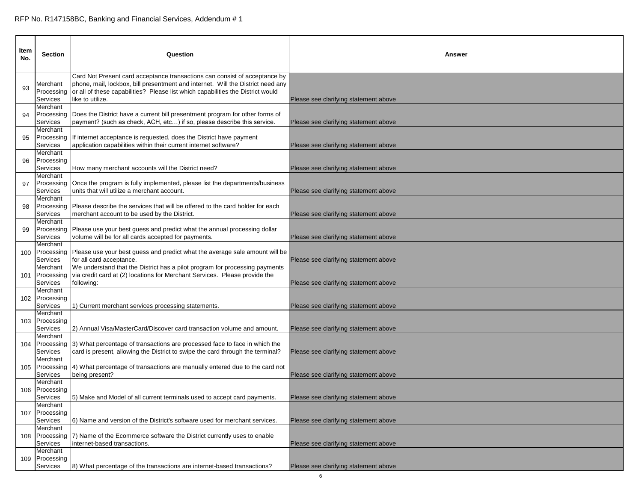| Item<br>No. | <b>Section</b>                                 | Question                                                                                                                                                                                                                                                             | Answer                                |
|-------------|------------------------------------------------|----------------------------------------------------------------------------------------------------------------------------------------------------------------------------------------------------------------------------------------------------------------------|---------------------------------------|
| 93          | Merchant<br>Processing<br>Services             | Card Not Present card acceptance transactions can consist of acceptance by<br>phone, mail, lockbox, bill presentment and internet. Will the District need any<br>or all of these capabilities? Please list which capabilities the District would<br>like to utilize. | Please see clarifying statement above |
| 94          | Merchant<br>Processing<br>Services<br>Merchant | Does the District have a current bill presentment program for other forms of<br>payment? (such as check, ACH, etc) if so, please describe this service.                                                                                                              | Please see clarifying statement above |
| 95          | Processing<br>Services<br>Merchant             | If internet acceptance is requested, does the District have payment<br>application capabilities within their current internet software?                                                                                                                              | Please see clarifying statement above |
| 96          | Processing<br>Services<br>Merchant             | How many merchant accounts will the District need?                                                                                                                                                                                                                   | Please see clarifying statement above |
| 97          | Processing<br>Services<br>Merchant             | Once the program is fully implemented, please list the departments/business<br>units that will utilize a merchant account.                                                                                                                                           | Please see clarifying statement above |
| 98          | Processing<br>Services<br>Merchant             | Please describe the services that will be offered to the card holder for each<br>merchant account to be used by the District.                                                                                                                                        | Please see clarifying statement above |
| 99          | Processing<br>Services<br>Merchant             | Please use your best guess and predict what the annual processing dollar<br>volume will be for all cards accepted for payments.                                                                                                                                      | Please see clarifying statement above |
| 100         | Services<br>Merchant                           | Processing Please use your best guess and predict what the average sale amount will be<br>for all card acceptance.<br>We understand that the District has a pilot program for processing payments                                                                    | Please see clarifying statement above |
| 101         | Processing<br><b>Services</b><br>Merchant      | via credit card at (2) locations for Merchant Services. Please provide the<br>following:                                                                                                                                                                             | Please see clarifying statement above |
|             | 102 Processing<br><b>Services</b><br>Merchant  | 1) Current merchant services processing statements.                                                                                                                                                                                                                  | Please see clarifying statement above |
|             | 103 Processing<br>Services<br>Merchant         | 2) Annual Visa/MasterCard/Discover card transaction volume and amount.                                                                                                                                                                                               | Please see clarifying statement above |
| 104         | Processing<br>Services<br>Merchant             | 3) What percentage of transactions are processed face to face in which the<br>card is present, allowing the District to swipe the card through the terminal?                                                                                                         | Please see clarifying statement above |
|             | Services<br>Merchant                           | 105 Processing (4) What percentage of transactions are manually entered due to the card not<br>being present?                                                                                                                                                        | Please see clarifying statement above |
|             | 106 Processing<br>Services<br>Merchant         | 5) Make and Model of all current terminals used to accept card payments.                                                                                                                                                                                             | Please see clarifying statement above |
| 107         | Processing<br>Services<br>Merchant             | 6) Name and version of the District's software used for merchant services.                                                                                                                                                                                           | Please see clarifying statement above |
|             | 108 Processing<br>Services<br>Merchant         | 7) Name of the Ecommerce software the District currently uses to enable<br>internet-based transactions.                                                                                                                                                              | Please see clarifying statement above |
|             | 109 Processing<br>Services                     | 8) What percentage of the transactions are internet-based transactions?                                                                                                                                                                                              | Please see clarifying statement above |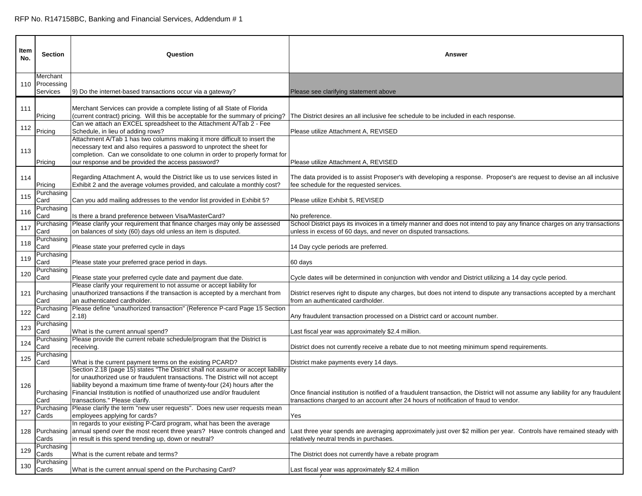| ltem<br>No. | <b>Section</b>                         | Question                                                                                                                                                                                                                                                                                                                                                               | Answer                                                                                                                                                                                                                     |
|-------------|----------------------------------------|------------------------------------------------------------------------------------------------------------------------------------------------------------------------------------------------------------------------------------------------------------------------------------------------------------------------------------------------------------------------|----------------------------------------------------------------------------------------------------------------------------------------------------------------------------------------------------------------------------|
|             | Merchant<br>110 Processing<br>Services | 9) Do the internet-based transactions occur via a gateway?                                                                                                                                                                                                                                                                                                             | Please see clarifying statement above                                                                                                                                                                                      |
| 111         | Pricing                                | Merchant Services can provide a complete listing of all State of Florida<br>(current contract) pricing. Will this be acceptable for the summary of pricing?                                                                                                                                                                                                            | The District desires an all inclusive fee schedule to be included in each response.                                                                                                                                        |
| 112         | Pricing                                | Can we attach an EXCEL spreadsheet to the Attachment A/Tab 2 - Fee<br>Schedule, in lieu of adding rows?                                                                                                                                                                                                                                                                | Please utilize Attachment A, REVISED                                                                                                                                                                                       |
| 113         | Pricing                                | Attachment A/Tab 1 has two columns making it more difficult to insert the<br>necessary text and also requires a password to unprotect the sheet for<br>completion. Can we consolidate to one column in order to properly format for<br>our response and be provided the access password?                                                                               | Please utilize Attachment A, REVISED                                                                                                                                                                                       |
| 114         | Pricing                                | Regarding Attachment A, would the District like us to use services listed in<br>Exhibit 2 and the average volumes provided, and calculate a monthly cost?                                                                                                                                                                                                              | The data provided is to assist Proposer's with developing a response. Proposer's are request to devise an all inclusive<br>fee schedule for the requested services.                                                        |
| 115         | Purchasing<br>Card                     | Can you add mailing addresses to the vendor list provided in Exhibit 5?                                                                                                                                                                                                                                                                                                | Please utilize Exhibit 5, REVISED                                                                                                                                                                                          |
| 116         | Purchasing<br>Card                     | Is there a brand preference between Visa/MasterCard?                                                                                                                                                                                                                                                                                                                   | No preference.                                                                                                                                                                                                             |
| 117         | Purchasing<br>Card                     | Please clarify your requirement that finance charges may only be assessed<br>on balances of sixty (60) days old unless an item is disputed.                                                                                                                                                                                                                            | School District pays its invoices in a timely manner and does not intend to pay any finance charges on any transactions<br>unless in excess of 60 days, and never on disputed transactions.                                |
| 118         | Purchasing<br>Card                     | Please state your preferred cycle in days                                                                                                                                                                                                                                                                                                                              | 14 Day cycle periods are preferred.                                                                                                                                                                                        |
| 119         | Purchasing<br>Card                     | Please state your preferred grace period in days.                                                                                                                                                                                                                                                                                                                      | 60 days                                                                                                                                                                                                                    |
| 120         | Purchasing<br>Card                     | Please state your preferred cycle date and payment due date.                                                                                                                                                                                                                                                                                                           | Cycle dates will be determined in conjunction with vendor and District utilizing a 14 day cycle period.                                                                                                                    |
|             | Card                                   | Please clarify your requirement to not assume or accept liability for<br>121 Purchasing unauthorized transactions if the transaction is accepted by a merchant from<br>an authenticated cardholder.                                                                                                                                                                    | District reserves right to dispute any charges, but does not intend to dispute any transactions accepted by a merchant<br>from an authenticated cardholder.                                                                |
| 122         | Purchasing<br>Card                     | Please define "unauthorized transaction" (Reference P-card Page 15 Section<br>(2.18)                                                                                                                                                                                                                                                                                   | Any fraudulent transaction processed on a District card or account number.                                                                                                                                                 |
| 123         | Purchasing<br>Card                     | What is the current annual spend?                                                                                                                                                                                                                                                                                                                                      | Last fiscal year was approximately \$2.4 million.                                                                                                                                                                          |
| 124         | Purchasing<br>Card                     | Please provide the current rebate schedule/program that the District is<br>receiving.                                                                                                                                                                                                                                                                                  | District does not currently receive a rebate due to not meeting minimum spend requirements.                                                                                                                                |
| 125         | Purchasing<br>Card                     | What is the current payment terms on the existing PCARD?                                                                                                                                                                                                                                                                                                               | District make payments every 14 days.                                                                                                                                                                                      |
| 126         | Card                                   | Section 2.18 (page 15) states "The District shall not assume or accept liability<br>for unauthorized use or fraudulent transactions. The District will not accept<br>liability beyond a maximum time frame of twenty-four (24) hours after the<br>Purchasing Financial Institution is notified of unauthorized use and/or fraudulent<br>transactions." Please clarify. | Once financial institution is notified of a fraudulent transaction, the District will not assume any liability for any fraudulent<br>transactions charged to an account after 24 hours of notification of fraud to vendor. |
| 127         | Purchasing<br>Cards                    | Please clarify the term "new user requests". Does new user requests mean<br>employees applying for cards?                                                                                                                                                                                                                                                              | Yes                                                                                                                                                                                                                        |
|             | Cards                                  | In regards to your existing P-Card program, what has been the average<br>128 Purchasing annual spend over the most recent three years? Have controls changed and<br>in result is this spend trending up, down or neutral?                                                                                                                                              | Last three year spends are averaging approximately just over \$2 million per year. Controls have remained steady with<br>relatively neutral trends in purchases.                                                           |
| 129         | Purchasing<br>Cards                    | What is the current rebate and terms?                                                                                                                                                                                                                                                                                                                                  | The District does not currently have a rebate program                                                                                                                                                                      |
| 130         | Purchasing<br>Cards                    | What is the current annual spend on the Purchasing Card?                                                                                                                                                                                                                                                                                                               | Last fiscal year was approximately \$2.4 million                                                                                                                                                                           |